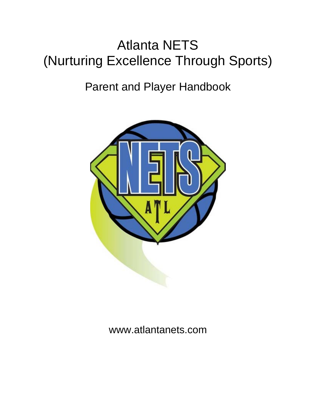# Atlanta NETS (Nurturing Excellence Through Sports)

# Parent and Player Handbook



# www.atlantanets.com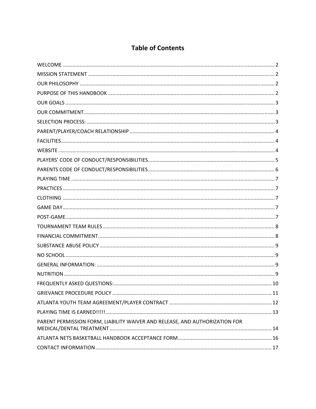#### **Table of Contents**

|                                                                             | $\dots$ 11 |
|-----------------------------------------------------------------------------|------------|
|                                                                             |            |
|                                                                             |            |
| PARENT PERMISSION FORM, LIABILITY WAIVER AND RELEASE, AND AUTHORIZATION FOR |            |
|                                                                             |            |
|                                                                             |            |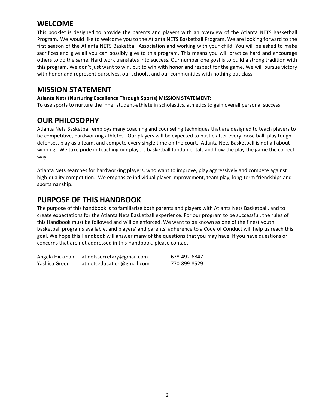#### **WELCOME**

This booklet is designed to provide the parents and players with an overview of the Atlanta NETS Basketball Program. We would like to welcome you to the Atlanta NETS Basketball Program. We are looking forward to the first season of the Atlanta NETS Basketball Association and working with your child. You will be asked to make sacrifices and give all you can possibly give to this program. This means you will practice hard and encourage others to do the same. Hard work translates into success. Our number one goal is to build a strong tradition with this program. We don't just want to win, but to win with honor and respect for the game. We will pursue victory with honor and represent ourselves, our schools, and our communities with nothing but class.

#### **MISSION STATEMENT**

#### **Atlanta Nets (Nurturing Excellence Through Sports) MISSION STATEMENT:**

To use sports to nurture the inner student‐athlete in scholastics, athletics to gain overall personal success.

**OUR PHILOSOPHY**<br>
Atlanta Nets Basketball employs many coaching and counseling techniques that are designed to teach players to be competitive, hardworking athletes. Our players will be expected to hustle after every loose ball, play tough defenses, play as a team, and compete every single time on the court. Atlanta Nets Basketball is not all about winning. We take pride in teaching our players basketball fundamentals and how the play the game the correct way.

Atlanta Nets searches for hardworking players, who want to improve, play aggressively and compete against high-quality competition. We emphasize individual player improvement, team play, long-term friendships and sportsmanship.

#### **PURPOSE OF THIS HANDBOOK**

The purpose of this handbook is to familiarize both parents and players with Atlanta Nets Basketball, and to create expectations for the Atlanta Nets Basketball experience. For our program to be successful, the rules of this Handbook must be followed and will be enforced. We want to be known as one of the finest youth basketball programs available, and players' and parents' adherence to a Code of Conduct will help us reach this goal. We hope this Handbook will answer many of the questions that you may have. If you have questions or concerns that are not addressed in this Handbook, please contact:

| Angela Hickman | atlnetssecretary@gmail.com | 678-492-6847 |
|----------------|----------------------------|--------------|
| Yashica Green  | atlnetseducation@gmail.com | 770-899-8529 |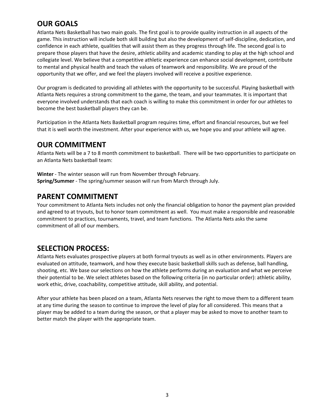## **OUR GOALS**

Atlanta Nets Basketball has two main goals. The first goal is to provide quality instruction in all aspects of the game. This instruction will include both skill building but also the development of self‐discipline, dedication, and confidence in each athlete, qualities that will assist them as they progress through life. The second goal is to prepare those players that have the desire, athletic ability and academic standing to play at the high school and collegiate level. We believe that a competitive athletic experience can enhance social development, contribute to mental and physical health and teach the values of teamwork and responsibility. We are proud of the opportunity that we offer, and we feel the players involved will receive a positive experience.

Our program is dedicated to providing all athletes with the opportunity to be successful. Playing basketball with Atlanta Nets requires a strong commitment to the game, the team, and your teammates. It is important that everyone involved understands that each coach is willing to make this commitment in order for our athletes to become the best basketball players they can be.

Participation in the Atlanta Nets Basketball program requires time, effort and financial resources, but we feel that it is well worth the investment. After your experience with us, we hope you and your athlete will agree.

#### **OUR COMMITMENT**

Atlanta Nets will be a 7 to 8 month commitment to basketball. There will be two opportunities to participate on an Atlanta Nets basketball team:

**Winter** - The winter season will run from November through February. **Spring/Summer** ‐ The spring/summer season will run from March through July.

#### **PARENT COMMITMENT**

Your commitment to Atlanta Nets includes not only the financial obligation to honor the payment plan provided and agreed to at tryouts, but to honor team commitment as well. You must make a responsible and reasonable commitment to practices, tournaments, travel, and team functions. The Atlanta Nets asks the same commitment of all of our members.

#### **SELECTION PROCESS:**

Atlanta Nets evaluates prospective players at both formal tryouts as well as in other environments. Players are evaluated on attitude, teamwork, and how they execute basic basketball skills such as defense, ball handling, shooting, etc. We base our selections on how the athlete performs during an evaluation and what we perceive their potential to be. We select athletes based on the following criteria (in no particular order): athletic ability, work ethic, drive, coachability, competitive attitude, skill ability, and potential.

After your athlete has been placed on a team, Atlanta Nets reserves the right to move them to a different team at any time during the season to continue to improve the level of play for all considered. This means that a player may be added to a team during the season, or that a player may be asked to move to another team to better match the player with the appropriate team.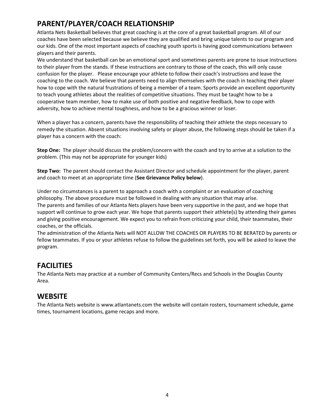## **PARENT/PLAYER/COACH RELATIONSHIP**

Atlanta Nets Basketball believes that great coaching is at the core of a great basketball program. All of our coaches have been selected because we believe they are qualified and bring unique talents to our program and our kids. One of the most important aspects of coaching youth sports is having good communications between players and their parents.

We understand that basketball can be an emotional sport and sometimes parents are prone to issue instructions to their player from the stands. If these instructions are contrary to those of the coach, this will only cause confusion for the player. Please encourage your athlete to follow their coach's instructions and leave the coaching to the coach. We believe that parents need to align themselves with the coach in teaching their player how to cope with the natural frustrations of being a member of a team. Sports provide an excellent opportunity to teach young athletes about the realities of competitive situations. They must be taught how to be a cooperative team member, how to make use of both positive and negative feedback, how to cope with adversity, how to achieve mental toughness, and how to be a gracious winner or loser.

When a player has a concern, parents have the responsibility of teaching their athlete the steps necessary to remedy the situation. Absent situations involving safety or player abuse, the following steps should be taken if a player has a concern with the coach:

**Step One:** The player should discuss the problem/concern with the coach and try to arrive at a solution to the problem. (This may not be appropriate for younger kids)

**Step Two:** The parent should contact the Assistant Director and schedule appointment for the player, parent and coach to meet at an appropriate time (**See Grievance Policy below**).

Under no circumstances is a parent to approach a coach with a complaint or an evaluation of coaching philosophy. The above procedure must be followed in dealing with any situation that may arise. The parents and families of our Atlanta Nets players have been very supportive in the past, and we hope that support will continue to grow each year. We hope that parents support their athlete(s) by attending their games and giving positive encouragement. We expect you to refrain from criticizing your child, their teammates, their coaches, or the officials.

The administration of the Atlanta Nets will NOT ALLOW THE COACHES OR PLAYERS TO BE BERATED by parents or fellow teammates. If you or your athletes refuse to follow the guidelines set forth, you will be asked to leave the program.

#### **FACILITIES**

The Atlanta Nets may practice at a number of Community Centers/Recs and Schools in the Douglas County Area.

#### **WEBSITE**

The Atlanta Nets website is www.atlantanets.com the website will contain rosters, tournament schedule, game times, tournament locations, game recaps and more.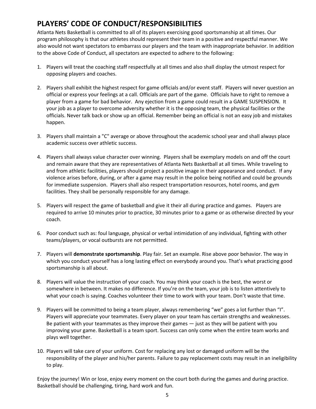## **PLAYERS' CODE OF CONDUCT/RESPONSIBILITIES**

Atlanta Nets Basketball is committed to all of its players exercising good sportsmanship at all times. Our program philosophy is that our athletes should represent their team in a positive and respectful manner. We also would not want spectators to embarrass our players and the team with inappropriate behavior. In addition to the above Code of Conduct, all spectators are expected to adhere to the following:

- 1. Players will treat the coaching staff respectfully at all times and also shall display the utmost respect for opposing players and coaches.
- 2. Players shall exhibit the highest respect for game officials and/or event staff. Players will never question an official or express your feelings at a call. Officials are part of the game. Officials have to right to remove a player from a game for bad behavior. Any ejection from a game could result in a GAME SUSPENSION. It your job as a player to overcome adversity whether it is the opposing team, the physical facilities or the officials. Never talk back or show up an official. Remember being an official is not an easy job and mistakes happen.
- 3. Players shall maintain a "C" average or above throughout the academic school year and shall always place academic success over athletic success.
- 4. Players shall always value character over winning. Players shall be exemplary models on and off the court and remain aware that they are representatives of Atlanta Nets Basketball at all times. While traveling to and from athletic facilities, players should project a positive image in their appearance and conduct. If any violence arises before, during, or after a game may result in the police being notified and could be grounds for immediate suspension. Players shall also respect transportation resources, hotel rooms, and gym facilities. They shall be personally responsible for any damage.
- 5. Players will respect the game of basketball and give it their all during practice and games. Players are required to arrive 10 minutes prior to practice, 30 minutes prior to a game or as otherwise directed by your coach.
- 6. Poor conduct such as: foul language, physical or verbal intimidation of any individual, fighting with other teams/players, or vocal outbursts are not permitted.
- 7. Players will **demonstrate sportsmanship**. Play fair. Set an example. Rise above poor behavior. The way in which you conduct yourself has a long lasting effect on everybody around you. That's what practicing good sportsmanship is all about.
- 8. Players will value the instruction of your coach. You may think your coach is the best, the worst or somewhere in between. It makes no difference. If you're on the team, your job is to listen attentively to what your coach is saying. Coaches volunteer their time to work with your team. Don't waste that time.
- 9. Players will be committed to being a team player, always remembering "we" goes a lot further than "I". Players will appreciate your teammates. Every player on your team has certain strengths and weaknesses. Be patient with your teammates as they improve their games — just as they will be patient with you improving your game. Basketball is a team sport. Success can only come when the entire team works and plays well together.
- 10. Players will take care of your uniform. Cost for replacing any lost or damaged uniform will be the responsibility of the player and his/her parents. Failure to pay replacement costs may result in an ineligibility to play.

Enjoy the journey! Win or lose, enjoy every moment on the court both during the games and during practice. Basketball should be challenging, tiring, hard work and fun.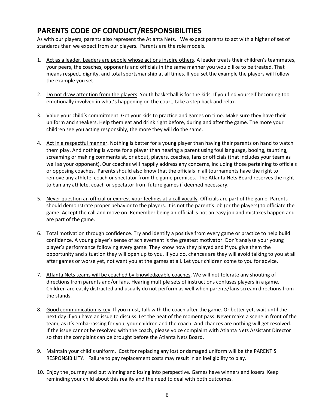## **PARENTS CODE OF CONDUCT/RESPONSIBILITIES**

As with our players, parents also represent the Atlanta Nets. We expect parents to act with a higher of set of standards than we expect from our players. Parents are the role models.

- 1. Act as a leader. Leaders are people whose actions inspire others. A leader treats their children's teammates, your peers, the coaches, opponents and officials in the same manner you would like to be treated. That means respect, dignity, and total sportsmanship at all times. If you set the example the players will follow the example you set.
- 2. Do not draw attention from the players. Youth basketball is for the kids. If you find yourself becoming too emotionally involved in what's happening on the court, take a step back and relax.
- 3. Value your child's commitment. Get your kids to practice and games on time. Make sure they have their uniform and sneakers. Help them eat and drink right before, during and after the game. The more your children see you acting responsibly, the more they will do the same.
- 4. Act in a respectful manner. Nothing is better for a young player than having their parents on hand to watch them play. And nothing is worse for a player than hearing a parent using foul language, booing, taunting, screaming or making comments at, or about, players, coaches, fans or officials (that includes your team as well as your opponent). Our coaches will happily address any concerns, including those pertaining to officials or opposing coaches. Parents should also know that the officials in all tournaments have the right to remove any athlete, coach or spectator from the game premises. The Atlanta Nets Board reserves the right to ban any athlete, coach or spectator from future games if deemed necessary.
- 5. Never question an official or express your feelings at a call vocally. Officials are part of the game. Parents should demonstrate proper behavior to the players. It is not the parent's job (or the players) to officiate the game. Accept the call and move on. Remember being an official is not an easy job and mistakes happen and are part of the game.
- 6. Total motivation through confidence. Try and identify a positive from every game or practice to help build confidence. A young player's sense of achievement is the greatest motivator. Don't analyze your young player's performance following every game. They know how they played and if you give them the opportunity and situation they will open up to you. If you do, chances are they will avoid talking to you at all after games or worse yet, not want you at the games at all. Let your children come to you for advice.
- 7. Atlanta Nets teams will be coached by knowledgeable coaches. We will not tolerate any shouting of directions from parents and/or fans. Hearing multiple sets of instructions confuses players in a game. Children are easily distracted and usually do not perform as well when parents/fans scream directions from the stands.
- 8. Good communication is key. If you must, talk with the coach after the game. Or better yet, wait until the next day if you have an issue to discuss. Let the heat of the moment pass. Never make a scene in front of the team, as it's embarrassing for you, your children and the coach. And chances are nothing will get resolved. If the issue cannot be resolved with the coach, please voice complaint with Atlanta Nets Assistant Director so that the complaint can be brought before the Atlanta Nets Board.
- 9. Maintain your child's uniform. Cost for replacing any lost or damaged uniform will be the PARENT'S RESPONSIBILITY. Failure to pay replacement costs may result in an ineligibility to play.
- 10. Enjoy the journey and put winning and losing into perspective. Games have winners and losers. Keep reminding your child about this reality and the need to deal with both outcomes.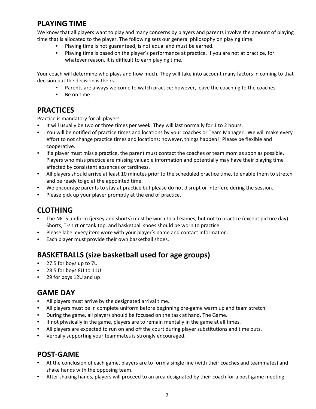#### **PLAYING TIME**

We know that all players want to play and many concerns by players and parents involve the amount of playing time that is allocated to the player. The following sets our general philosophy on playing time.

- Playing time is not guaranteed, is not equal and must be earned.
- Playing time is based on the player's performance at practice. If you are not at practice, for whatever reason, it is difficult to earn playing time.

Your coach will determine who plays and how much. They will take into account many factors in coming to that decision but the decision is theirs.

- Parents are always welcome to watch practice: however, leave the coaching to the coaches.
- Be on time!

#### **PRACTICES**

Practice is mandatory for all players.

- It will usually be two or three times per week. They will last normally for 1 to 2 hours.
- You will be notified of practice times and locations by your coaches or Team Manager. We will make every effort to not change practice times and locations: however, things happen!! Please be flexible and cooperative.
- If a player must miss a practice, the parent must contact the coaches or team mom as soon as possible. Players who miss practice are missing valuable information and potentially may have their playing time affected by consistent absences or tardiness.
- All players should arrive at least 10 minutes prior to the scheduled practice time, to enable them to stretch and be ready to go at the appointed time.
- We encourage parents to stay at practice but please do not disrupt or interfere during the session.
- Please pick up your player promptly at the end of practice.

#### **CLOTHING**

- The NETS uniform (jersey and shorts) must be worn to all Games, but not to practice (except picture day). Shorts, T-shirt or tank top, and basketball shoes should be worn to practice.
- Please label every item wore with your player's name and contact information.
- Each player must provide their own basketball shoes.

## **BASKETBALLS (size basketball used for age groups)**

- 27.5 for boys up to 7U
- 28.5 for boys 8U to 11U
- 29 for boys 12U and up

#### **GAME DAY**

- All players must arrive by the designated arrival time.
- All players must be in complete uniform before beginning pre-game warm up and team stretch.
- During the game, all players should be focused on the task at hand, The Game.
- If not physically in the game, players are to remain mentally in the game at all times.
- All players are expected to run on and off the court during player substitutions and time outs.
- Verbally supporting your teammates is strongly encouraged.

#### **POST‐GAME**

- At the conclusion of each game, players are to form a single line (with their coaches and teammates) and shake hands with the opposing team.
- After shaking hands, players will proceed to an area designated by their coach for a post-game meeting.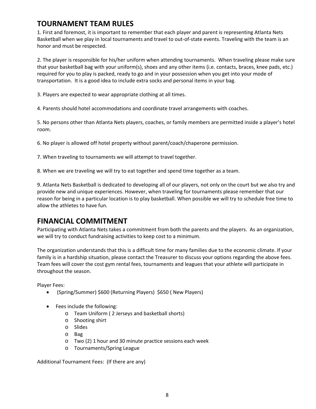#### **TOURNAMENT TEAM RULES**

1. First and foremost, it is important to remember that each player and parent is representing Atlanta Nets Basketball when we play in local tournaments and travel to out‐of‐state events. Traveling with the team is an honor and must be respected.

2. The player is responsible for his/her uniform when attending tournaments. When traveling please make sure that your basketball bag with your uniform(s), shoes and any other items (i.e. contacts, braces, knee pads, etc.) required for you to play is packed, ready to go and in your possession when you get into your mode of transportation. It is a good idea to include extra socks and personal items in your bag.

3. Players are expected to wear appropriate clothing at all times.

4. Parents should hotel accommodations and coordinate travel arrangements with coaches.

5. No persons other than Atlanta Nets players, coaches, or family members are permitted inside a player's hotel room.

6. No player is allowed off hotel property without parent/coach/chaperone permission.

7. When traveling to tournaments we will attempt to travel together.

8. When we are traveling we will try to eat together and spend time together as a team.

9. Atlanta Nets Basketball is dedicated to developing all of our players, not only on the court but we also try and provide new and unique experiences. However, when traveling for tournaments please remember that our reason for being in a particular location is to play basketball. When possible we will try to schedule free time to allow the athletes to have fun.

#### **FINANCIAL COMMITMENT**

Participating with Atlanta Nets takes a commitment from both the parents and the players. As an organization, we will try to conduct fundraising activities to keep cost to a minimum.

The organization understands that this is a difficult time for many families due to the economic climate. If your family is in a hardship situation, please contact the Treasurer to discuss your options regarding the above fees. Team fees will cover the cost gym rental fees, tournaments and leagues that your athlete will participate in throughout the season.

Player Fees:

- (Spring/Summer) \$600 (Returning Players) \$650 ( New Players)
- Fees include the following:
	- o Team Uniform ( 2 Jerseys and basketball shorts)
	- o Shooting shirt
	- o Slides
	- o Bag
	- o Two (2) 1 hour and 30 minute practice sessions each week
	- o Tournaments/Spring League

Additional Tournament Fees: (If there are any)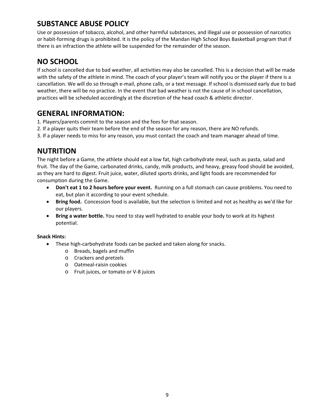### **SUBSTANCE ABUSE POLICY**

Use or possession of tobacco, alcohol, and other harmful substances, and illegal use or possession of narcotics or habit‐forming drugs is prohibited. It is the policy of the Mandan High School Boys Basketball program that if there is an infraction the athlete will be suspended for the remainder of the season.

#### **NO SCHOOL**

If school is cancelled due to bad weather, all activities may also be cancelled. This is a decision that will be made with the safety of the athlete in mind. The coach of your player's team will notify you or the player if there is a cancellation. We will do so through e‐mail, phone calls, or a text message. If school is dismissed early due to bad weather, there will be no practice. In the event that bad weather is not the cause of in school cancellation, practices will be scheduled accordingly at the discretion of the head coach & athletic director.

#### **GENERAL INFORMATION:**

- 1. Players/parents commit to the season and the fees for that season.
- 2. If a player quits their team before the end of the season for any reason, there are NO refunds.
- 3. If a player needs to miss for any reason, you must contact the coach and team manager ahead of time.

#### **NUTRITION**

The night before a Game, the athlete should eat a low fat, high carbohydrate meal, such as pasta, salad and fruit. The day of the Game, carbonated drinks, candy, milk products, and heavy, greasy food should be avoided, as they are hard to digest. Fruit juice, water, diluted sports drinks, and light foods are recommended for consumption during the Game.

- **Don't eat 1 to 2 hours before your event.** Running on a full stomach can cause problems. You need to eat, but plan it according to your event schedule.
- **Bring food.** Concession food is available, but the selection is limited and not as healthy as we'd like for our players.
- **Bring a water bottle.** You need to stay well hydrated to enable your body to work at its highest potential.

#### **Snack Hints:**

- These high-carbohydrate foods can be packed and taken along for snacks.
	- o Breads, bagels and muffin
	- o Crackers and pretzels
	- o Oatmeal‐raisin cookies
	- o Fruit juices, or tomato or V‐8 juices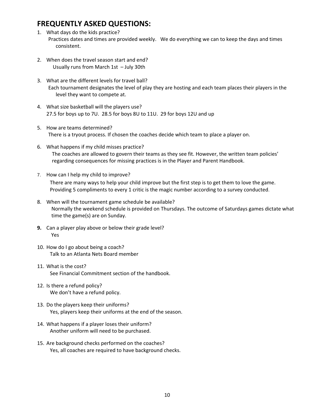#### **FREQUENTLY ASKED QUESTIONS:**

- 1. What days do the kids practice? Practices dates and times are provided weekly. We do everything we can to keep the days and times consistent.
- 2. When does the travel season start and end? Usually runs from March 1st – July 30th
- 3. What are the different levels for travel ball? Each tournament designates the level of play they are hosting and each team places their players in the level they want to compete at.
- 4. What size basketball will the players use? 27.5 for boys up to 7U. 28.5 for boys 8U to 11U. 29 for boys 12U and up
- 5. How are teams determined? There is a tryout process. If chosen the coaches decide which team to place a player on.
- 6. What happens if my child misses practice? The coaches are allowed to govern their teams as they see fit. However, the written team policies' regarding consequences for missing practices is in the Player and Parent Handbook.
- 7. How can I help my child to improve? There are many ways to help your child improve but the first step is to get them to love the game. Providing 5 compliments to every 1 critic is the magic number according to a survey conducted.
- 8. When will the tournament game schedule be available? Normally the weekend schedule is provided on Thursdays. The outcome of Saturdays games dictate what time the game(s) are on Sunday.
- **9.** Can a player play above or below their grade level? Yes
- 10. How do I go about being a coach? Talk to an Atlanta Nets Board member
- 11. What is the cost? See Financial Commitment section of the handbook.
- 12. Is there a refund policy? We don't have a refund policy.
- 13. Do the players keep their uniforms? Yes, players keep their uniforms at the end of the season.
- 14. What happens if a player loses their uniform? Another uniform will need to be purchased.
- 15. Are background checks performed on the coaches? Yes, all coaches are required to have background checks.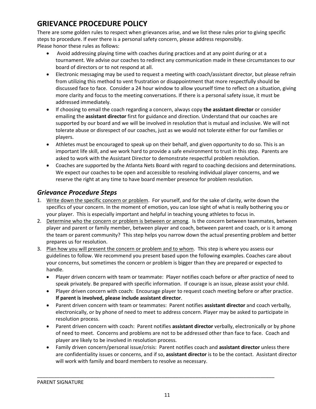# **GRIEVANCE PROCEDURE POLICY**

There are some golden rules to respect when grievances arise, and we list these rules prior to giving specific steps to procedure. If ever there is a personal safety concern, please address responsibly. Please honor these rules as follows:

- Avoid addressing playing time with coaches during practices and at any point during or at a tournament. We advise our coaches to redirect any communication made in these circumstances to our board of directors or to not respond at all.
- Electronic messaging may be used to request a meeting with coach/assistant director, but please refrain from utilizing this method to vent frustration or disappointment that more respectfully should be discussed face to face. Consider a 24 hour window to allow yourself time to reflect on a situation, giving more clarity and focus to the meeting conversations. If there is a personal safety issue, it must be addressed immediately.
- If choosing to email the coach regarding a concern, always copy **the assistant director** or consider emailing the **assistant director** first for guidance and direction. Understand that our coaches are supported by our board and we will be involved in resolution that is mutual and inclusive. We will not tolerate abuse or disrespect of our coaches, just as we would not tolerate either for our families or players.
- Athletes must be encouraged to speak up on their behalf, and given opportunity to do so. This is an important life skill, and we work hard to provide a safe environment to trust in this step. Parents are asked to work with the Assistant Director to demonstrate respectful problem resolution.
- Coaches are supported by the Atlanta Nets Board with regard to coaching decisions and determinations. We expect our coaches to be open and accessible to resolving individual player concerns, and we reserve the right at any time to have board member presence for problem resolution.

#### *Grievance Procedure Steps*

- 1. Write down the specific concern or problem. For yourself, and for the sake of clarity, write down the specifics of your concern. In the moment of emotion, you can lose sight of what is really bothering you or your player. This is especially important and helpful in teaching young athletes to focus in.
- 2. Determine who the concern or problem is between or among. Is the concern between teammates, between player and parent or family member, between player and coach, between parent and coach, or is it among the team or parent community? This step helps you narrow down the actual presenting problem and better prepares us for resolution.
- 3. Plan how you will present the concern or problem and to whom. This step is where you assess our guidelines to follow. We recommend you present based upon the following examples. Coaches care about your concerns, but sometimes the concern or problem is bigger than they are prepared or expected to handle.
	- Player driven concern with team or teammate: Player notifies coach before or after practice of need to speak privately. Be prepared with specific information. If courage is an issue, please assist your child.
	- Player driven concern with coach: Encourage player to request coach meeting before or after practice. **If parent is involved, please include assistant director**.
	- Parent driven concern with team or teammates: Parent notifies **assistant director** and coach verbally, electronically, or by phone of need to meet to address concern. Player may be asked to participate in resolution process.
	- Parent driven concern with coach: Parent notifies **assistant director** verbally, electronically or by phone of need to meet. Concerns and problems are not to be addressed other than face to face. Coach and player are likely to be involved in resolution process.
	- Family driven concern/personal issue/crisis: Parent notifies coach and **assistant director** unless there are confidentiality issues or concerns, and if so, **assistant director** is to be the contact. Assistant director will work with family and board members to resolve as necessary.

\_\_\_\_\_\_\_\_\_\_\_\_\_\_\_\_\_\_\_\_\_\_\_\_\_\_\_\_\_\_\_\_\_\_\_\_\_\_\_\_\_\_\_\_\_\_\_\_\_\_\_\_\_\_\_\_\_\_\_\_\_\_\_\_\_\_\_\_\_\_\_\_\_\_\_\_\_\_\_\_\_\_\_\_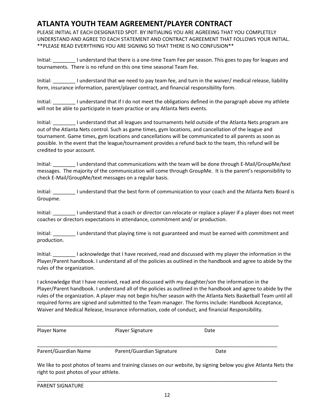#### **ATLANTA YOUTH TEAM AGREEMENT/PLAYER CONTRACT**

PLEASE INITIAL AT EACH DESIGNATED SPOT. BY INITIALING YOU ARE AGREEING THAT YOU COMPLETELY UNDERSTAND AND AGREE TO EACH STATEMENT AND CONTRACT AGREEMENT THAT FOLLOWS YOUR INITIAL. \*\*PLEASE READ EVERYTHING YOU ARE SIGNING SO THAT THERE IS NO CONFUSION\*\*

Initial: Initial: I understand that there is a one-time Team Fee per season. This goes to pay for leagues and tournaments. There is no refund on this one time seasonal Team Fee.

Initial: I understand that we need to pay team fee, and turn in the waiver/ medical release, liability form, insurance information, parent/player contract, and financial responsibility form.

Initial: \_\_\_\_\_\_\_\_ I understand that if I do not meet the obligations defined in the paragraph above my athlete will not be able to participate in team practice or any Atlanta Nets events.

Initial: Initial: I understand that all leagues and tournaments held outside of the Atlanta Nets program are out of the Atlanta Nets control. Such as game times, gym locations, and cancellation of the league and tournament. Game times, gym locations and cancellations will be communicated to all parents as soon as possible. In the event that the league/tournament provides a refund back to the team, this refund will be credited to your account.

Initial: \_\_\_\_\_\_\_\_ I understand that communications with the team will be done through E‐Mail/GroupMe/text messages. The majority of the communication will come through GroupMe. It is the parent's responsibility to check E‐Mail/GroupMe/text messages on a regular basis.

Initial: \_\_\_\_\_\_\_\_ I understand that the best form of communication to your coach and the Atlanta Nets Board is Groupme.

Initial: Initial: I understand that a coach or director can relocate or replace a player if a player does not meet coaches or directors expectations in attendance, commitment and/ or production.

Initial: \_\_\_\_\_\_\_\_ I understand that playing time is not guaranteed and must be earned with commitment and production.

Initial: \_\_\_\_\_\_\_\_ I acknowledge that I have received, read and discussed with my player the information in the Player/Parent handbook. I understand all of the policies as outlined in the handbook and agree to abide by the rules of the organization.

I acknowledge that I have received, read and discussed with my daughter/son the information in the Player/Parent handbook. I understand all of the policies as outlined in the handbook and agree to abide by the rules of the organization. A player may not begin his/her season with the Atlanta Nets Basketball Team until all required forms are signed and submitted to the Team manager. The forms include: Handbook Acceptance, Waiver and Medical Release, Insurance information, code of conduct, and financial Responsibility.

| Player Name          | Player Signature          | Date |  |
|----------------------|---------------------------|------|--|
|                      |                           |      |  |
| Parent/Guardian Name | Parent/Guardian Signature | Date |  |

We like to post photos of teams and training classes on our website, by signing below you give Atlanta Nets the right to post photos of your athlete.

|  | <b>PARENT SIGNATURE</b> |
|--|-------------------------|
|--|-------------------------|

\_\_\_\_\_\_\_\_\_\_\_\_\_\_\_\_\_\_\_\_\_\_\_\_\_\_\_\_\_\_\_\_\_\_\_\_\_\_\_\_\_\_\_\_\_\_\_\_\_\_\_\_\_\_\_\_\_\_\_\_\_\_\_\_\_\_\_\_\_\_\_\_\_\_\_\_\_\_\_\_\_\_\_\_\_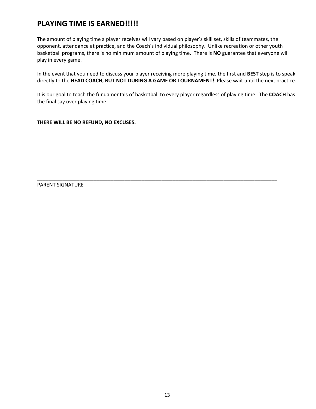#### **PLAYING TIME IS EARNED!!!!!**

The amount of playing time a player receives will vary based on player's skill set, skills of teammates, the opponent, attendance at practice, and the Coach's individual philosophy. Unlike recreation or other youth basketball programs, there is no minimum amount of playing time. There is **NO** guarantee that everyone will play in every game.

In the event that you need to discuss your player receiving more playing time, the first and **BEST** step is to speak directly to the **HEAD COACH, BUT NOT DURING A GAME OR TOURNAMENT!** Please wait until the next practice.

It is our goal to teach the fundamentals of basketball to every player regardless of playing time. The **COACH** has the final say over playing time.

\_\_\_\_\_\_\_\_\_\_\_\_\_\_\_\_\_\_\_\_\_\_\_\_\_\_\_\_\_\_\_\_\_\_\_\_\_\_\_\_\_\_\_\_\_\_\_\_\_\_\_\_\_\_\_\_\_\_\_\_\_\_\_\_\_\_\_\_\_\_\_\_\_\_\_\_\_\_\_\_\_\_\_\_\_

**THERE WILL BE NO REFUND, NO EXCUSES.** 

PARENT SIGNATURE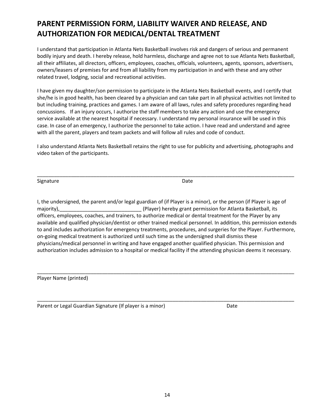# **PARENT PERMISSION FORM, LIABILITY WAIVER AND RELEASE, AND AUTHORIZATION FOR MEDICAL/DENTAL TREATMENT**

I understand that participation in Atlanta Nets Basketball involves risk and dangers of serious and permanent bodily injury and death. I hereby release, hold harmless, discharge and agree not to sue Atlanta Nets Basketball, all their affiliates, all directors, officers, employees, coaches, officials, volunteers, agents, sponsors, advertisers, owners/leasers of premises for and from all liability from my participation in and with these and any other related travel, lodging, social and recreational activities.

I have given my daughter/son permission to participate in the Atlanta Nets Basketball events, and I certify that she/he is in good health, has been cleared by a physician and can take part in all physical activities not limited to but including training, practices and games. I am aware of all laws, rules and safety procedures regarding head concussions. If an injury occurs, I authorize the staff members to take any action and use the emergency service available at the nearest hospital if necessary. I understand my personal insurance will be used in this case. In case of an emergency, I authorize the personnel to take action. I have read and understand and agree with all the parent, players and team packets and will follow all rules and code of conduct.

I also understand Atlanta Nets Basketball retains the right to use for publicity and advertising, photographs and video taken of the participants.

Signature Date

\_\_\_\_\_\_\_\_\_\_\_\_\_\_\_\_\_\_\_\_\_\_\_\_\_\_\_\_\_\_\_\_\_\_\_\_\_\_\_\_\_\_\_\_\_\_\_\_\_\_\_\_\_\_\_\_\_\_\_\_\_\_\_\_\_\_\_\_\_\_\_\_\_\_\_\_\_\_\_\_\_\_\_\_\_\_\_\_\_\_\_

I, the undersigned, the parent and/or legal guardian of (if Player is a minor), or the person (if Player is age of majority),\_\_\_\_\_\_\_\_\_\_\_\_\_\_\_\_\_\_\_\_\_\_\_\_\_\_\_\_\_ (Player) hereby grant permission for Atlanta Basketball, its officers, employees, coaches, and trainers, to authorize medical or dental treatment for the Player by any available and qualified physician/dentist or other trained medical personnel. In addition, this permission extends to and includes authorization for emergency treatments, procedures, and surgeries for the Player. Furthermore, on‐going medical treatment is authorized until such time as the undersigned shall dismiss these physicians/medical personnel in writing and have engaged another qualified physician. This permission and authorization includes admission to a hospital or medical facility if the attending physician deems it necessary.

\_\_\_\_\_\_\_\_\_\_\_\_\_\_\_\_\_\_\_\_\_\_\_\_\_\_\_\_\_\_\_\_\_\_\_\_\_\_\_\_\_\_\_\_\_\_\_\_\_\_\_\_\_\_\_\_\_\_\_\_\_\_\_\_\_\_\_\_\_\_\_\_\_\_\_\_\_\_\_\_\_\_\_\_\_\_\_\_\_\_\_

\_\_\_\_\_\_\_\_\_\_\_\_\_\_\_\_\_\_\_\_\_\_\_\_\_\_\_\_\_\_\_\_\_\_\_\_\_\_\_\_\_\_\_\_\_\_\_\_\_\_\_\_\_\_\_\_\_\_\_\_\_\_\_\_\_\_\_\_\_\_\_\_\_\_\_\_\_\_\_\_\_\_\_\_\_\_\_\_\_\_\_

Player Name (printed)

Parent or Legal Guardian Signature (If player is a minor) **Date** Date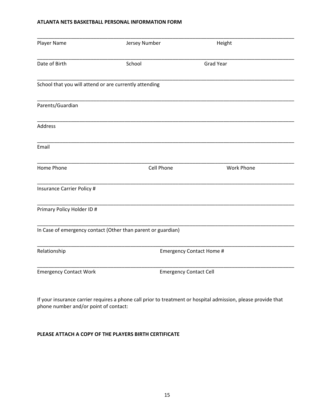#### **ATLANTA NETS BASKETBALL PERSONAL INFORMATION FORM**

| Player Name                                            | Jersey Number                                                | Height                          |  |
|--------------------------------------------------------|--------------------------------------------------------------|---------------------------------|--|
| Date of Birth                                          | School                                                       | <b>Grad Year</b>                |  |
| School that you will attend or are currently attending |                                                              |                                 |  |
| Parents/Guardian                                       |                                                              |                                 |  |
| Address                                                |                                                              |                                 |  |
| Email                                                  |                                                              |                                 |  |
| Home Phone                                             | Cell Phone                                                   | <b>Work Phone</b>               |  |
| <b>Insurance Carrier Policy #</b>                      |                                                              |                                 |  |
| Primary Policy Holder ID #                             |                                                              |                                 |  |
|                                                        | In Case of emergency contact (Other than parent or guardian) |                                 |  |
| Relationship                                           |                                                              | <b>Emergency Contact Home #</b> |  |
| <b>Emergency Contact Work</b>                          |                                                              | <b>Emergency Contact Cell</b>   |  |

If your insurance carrier requires a phone call prior to treatment or hospital admission, please provide that phone number and/or point of contact:

#### **PLEASE ATTACH A COPY OF THE PLAYERS BIRTH CERTIFICATE**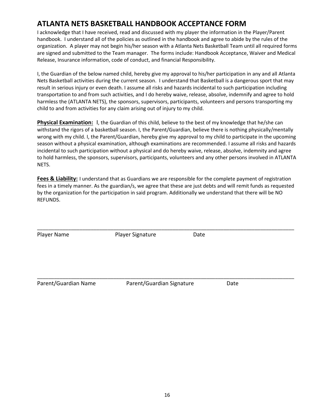#### **ATLANTA NETS BASKETBALL HANDBOOK ACCEPTANCE FORM**

I acknowledge that I have received, read and discussed with my player the information in the Player/Parent handbook. I understand all of the policies as outlined in the handbook and agree to abide by the rules of the organization. A player may not begin his/her season with a Atlanta Nets Basketball Team until all required forms are signed and submitted to the Team manager. The forms include: Handbook Acceptance, Waiver and Medical Release, Insurance information, code of conduct, and financial Responsibility.

I, the Guardian of the below named child, hereby give my approval to his/her participation in any and all Atlanta Nets Basketball activities during the current season. I understand that Basketball is a dangerous sport that may result in serious injury or even death. I assume all risks and hazards incidental to such participation including transportation to and from such activities, and I do hereby waive, release, absolve, indemnify and agree to hold harmless the (ATLANTA NETS), the sponsors, supervisors, participants, volunteers and persons transporting my child to and from activities for any claim arising out of injury to my child.

**Physical Examination:** I, the Guardian of this child, believe to the best of my knowledge that he/she can withstand the rigors of a basketball season. I, the Parent/Guardian, believe there is nothing physically/mentally wrong with my child. I, the Parent/Guardian, hereby give my approval to my child to participate in the upcoming season without a physical examination, although examinations are recommended. I assume all risks and hazards incidental to such participation without a physical and do hereby waive, release, absolve, indemnity and agree to hold harmless, the sponsors, supervisors, participants, volunteers and any other persons involved in ATLANTA NETS.

**Fees & Liability:** I understand that as Guardians we are responsible for the complete payment of registration fees in a timely manner. As the guardian/s, we agree that these are just debts and will remit funds as requested by the organization for the participation in said program. Additionally we understand that there will be NO REFUNDS.

\_\_\_\_\_\_\_\_\_\_\_\_\_\_\_\_\_\_\_\_\_\_\_\_\_\_\_\_\_\_\_\_\_\_\_\_\_\_\_\_\_\_\_\_\_\_\_\_\_\_\_\_\_\_\_\_\_\_\_\_\_\_\_\_\_\_\_\_\_\_\_\_\_\_\_\_\_\_\_\_\_\_\_\_\_\_\_\_\_\_\_

Player Name **Blayer Signature Date** 

\_\_\_\_\_\_\_\_\_\_\_\_\_\_\_\_\_\_\_\_\_\_\_\_\_\_\_\_\_\_\_\_\_\_\_\_\_\_\_\_\_\_\_\_\_\_\_\_\_\_\_\_\_\_\_\_\_\_\_\_\_\_\_\_\_\_\_\_\_\_\_\_\_\_\_\_\_\_\_\_\_\_\_\_\_\_\_\_\_\_\_ Parent/Guardian Name **Solution Parent/Guardian Signature** Date